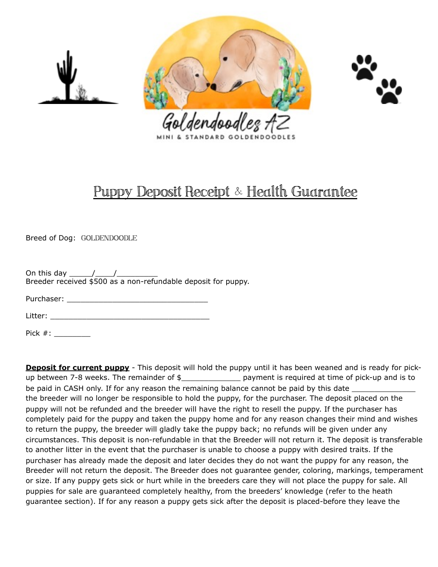





## Puppy Deposit Receipt & Health Guarantee

Breed of Dog: GOLDENDOODLE

On this day \_\_\_\_\_/\_\_\_\_/\_\_\_\_\_\_\_\_\_ Breeder received \$500 as a non-refundable deposit for puppy.

Purchaser: **Executive Server** 

 $Litter:$ 

Pick #: \_\_\_\_\_\_\_\_\_\_\_

**Deposit for current puppy** - This deposit will hold the puppy until it has been weaned and is ready for pickup between 7-8 weeks. The remainder of  $\frac{1}{2}$  \_\_\_\_\_\_\_\_\_\_\_\_\_\_\_\_\_\_\_\_\_ payment is required at time of pick-up and is to be paid in CASH only. If for any reason the remaining balance cannot be paid by this date \_\_\_\_\_\_\_\_\_ the breeder will no longer be responsible to hold the puppy, for the purchaser. The deposit placed on the puppy will not be refunded and the breeder will have the right to resell the puppy. If the purchaser has completely paid for the puppy and taken the puppy home and for any reason changes their mind and wishes to return the puppy, the breeder will gladly take the puppy back; no refunds will be given under any circumstances. This deposit is non-refundable in that the Breeder will not return it. The deposit is transferable to another litter in the event that the purchaser is unable to choose a puppy with desired traits. If the purchaser has already made the deposit and later decides they do not want the puppy for any reason, the Breeder will not return the deposit. The Breeder does not guarantee gender, coloring, markings, temperament or size. If any puppy gets sick or hurt while in the breeders care they will not place the puppy for sale. All puppies for sale are guaranteed completely healthy, from the breeders' knowledge (refer to the heath guarantee section). If for any reason a puppy gets sick after the deposit is placed-before they leave the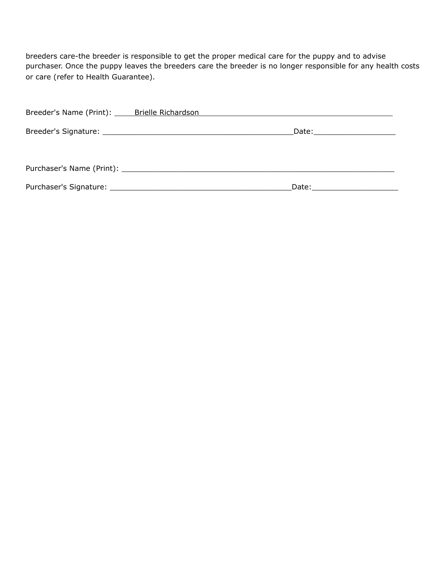breeders care-the breeder is responsible to get the proper medical care for the puppy and to advise purchaser. Once the puppy leaves the breeders care the breeder is no longer responsible for any health costs or care (refer to Health Guarantee).

| Breeder's Name (Print): Brielle Richardson |  |
|--------------------------------------------|--|
|                                            |  |
|                                            |  |
|                                            |  |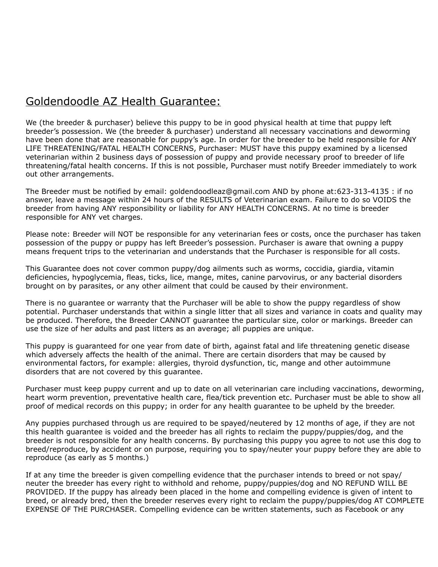## Goldendoodle AZ Health Guarantee:

We (the breeder & purchaser) believe this puppy to be in good physical health at time that puppy left breeder's possession. We (the breeder & purchaser) understand all necessary vaccinations and deworming have been done that are reasonable for puppy's age. In order for the breeder to be held responsible for ANY LIFE THREATENING/FATAL HEALTH CONCERNS, Purchaser: MUST have this puppy examined by a licensed veterinarian within 2 business days of possession of puppy and provide necessary proof to breeder of life threatening/fatal health concerns. If this is not possible, Purchaser must notify Breeder immediately to work out other arrangements.

The Breeder must be notified by email: goldendoodleaz@gmail.com AND by phone at:623-313-4135 : if no answer, leave a message within 24 hours of the RESULTS of Veterinarian exam. Failure to do so VOIDS the breeder from having ANY responsibility or liability for ANY HEALTH CONCERNS. At no time is breeder responsible for ANY vet charges.

Please note: Breeder will NOT be responsible for any veterinarian fees or costs, once the purchaser has taken possession of the puppy or puppy has left Breeder's possession. Purchaser is aware that owning a puppy means frequent trips to the veterinarian and understands that the Purchaser is responsible for all costs.

This Guarantee does not cover common puppy/dog ailments such as worms, coccidia, giardia, vitamin deficiencies, hypoglycemia, fleas, ticks, lice, mange, mites, canine parvovirus, or any bacterial disorders brought on by parasites, or any other ailment that could be caused by their environment.

There is no guarantee or warranty that the Purchaser will be able to show the puppy regardless of show potential. Purchaser understands that within a single litter that all sizes and variance in coats and quality may be produced. Therefore, the Breeder CANNOT guarantee the particular size, color or markings. Breeder can use the size of her adults and past litters as an average; all puppies are unique.

This puppy is guaranteed for one year from date of birth, against fatal and life threatening genetic disease which adversely affects the health of the animal. There are certain disorders that may be caused by environmental factors, for example: allergies, thyroid dysfunction, tic, mange and other autoimmune disorders that are not covered by this guarantee.

Purchaser must keep puppy current and up to date on all veterinarian care including vaccinations, deworming, heart worm prevention, preventative health care, flea/tick prevention etc. Purchaser must be able to show all proof of medical records on this puppy; in order for any health guarantee to be upheld by the breeder.

Any puppies purchased through us are required to be spayed/neutered by 12 months of age, if they are not this health guarantee is voided and the breeder has all rights to reclaim the puppy/puppies/dog, and the breeder is not responsible for any health concerns. By purchasing this puppy you agree to not use this dog to breed/reproduce, by accident or on purpose, requiring you to spay/neuter your puppy before they are able to reproduce (as early as 5 months.)

If at any time the breeder is given compelling evidence that the purchaser intends to breed or not spay/ neuter the breeder has every right to withhold and rehome, puppy/puppies/dog and NO REFUND WILL BE PROVIDED. If the puppy has already been placed in the home and compelling evidence is given of intent to breed, or already bred, then the breeder reserves every right to reclaim the puppy/puppies/dog AT COMPLETE EXPENSE OF THE PURCHASER. Compelling evidence can be written statements, such as Facebook or any